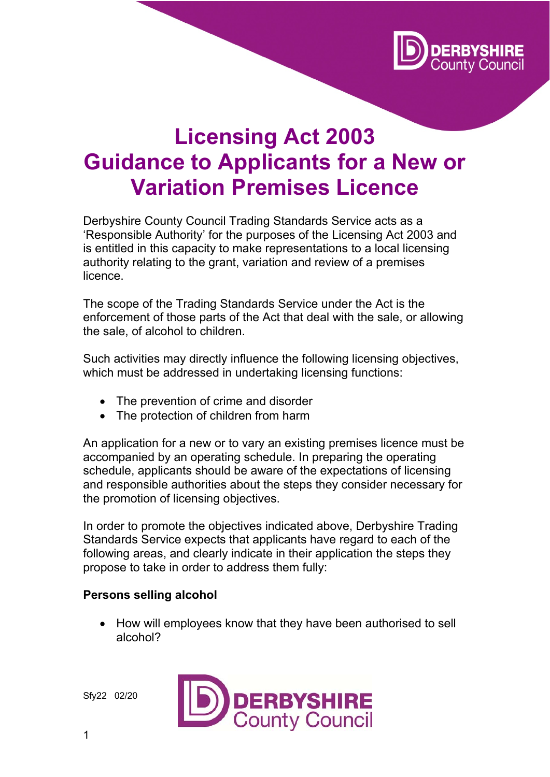

# **Licensing Act 2003 Guidance to Applicants for a New or Variation Premises Licence**

Derbyshire County Council Trading Standards Service acts as a 'Responsible Authority' for the purposes of the Licensing Act 2003 and is entitled in this capacity to make representations to a local licensing authority relating to the grant, variation and review of a premises licence.

The scope of the Trading Standards Service under the Act is the enforcement of those parts of the Act that deal with the sale, or allowing the sale, of alcohol to children.

Such activities may directly influence the following licensing objectives, which must be addressed in undertaking licensing functions:

- The prevention of crime and disorder
- The protection of children from harm

An application for a new or to vary an existing premises licence must be accompanied by an operating schedule. In preparing the operating schedule, applicants should be aware of the expectations of licensing and responsible authorities about the steps they consider necessary for the promotion of licensing objectives.

In order to promote the objectives indicated above, Derbyshire Trading Standards Service expects that applicants have regard to each of the following areas, and clearly indicate in their application the steps they propose to take in order to address them fully:

#### **Persons selling alcohol**

 How will employees know that they have been authorised to sell alcohol?

Sfy22 02/20

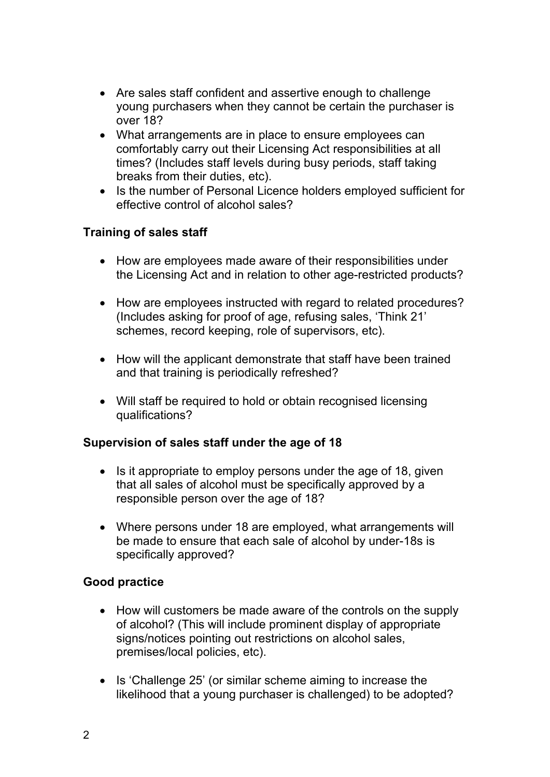- Are sales staff confident and assertive enough to challenge young purchasers when they cannot be certain the purchaser is over 18?
- What arrangements are in place to ensure employees can comfortably carry out their Licensing Act responsibilities at all times? (Includes staff levels during busy periods, staff taking breaks from their duties, etc).
- Is the number of Personal Licence holders employed sufficient for effective control of alcohol sales?

### **Training of sales staff**

- How are employees made aware of their responsibilities under the Licensing Act and in relation to other age-restricted products?
- How are employees instructed with regard to related procedures? (Includes asking for proof of age, refusing sales, 'Think 21' schemes, record keeping, role of supervisors, etc).
- How will the applicant demonstrate that staff have been trained and that training is periodically refreshed?
- Will staff be required to hold or obtain recognised licensing qualifications?

### **Supervision of sales staff under the age of 18**

- $\bullet$  Is it appropriate to employ persons under the age of 18, given that all sales of alcohol must be specifically approved by a responsible person over the age of 18?
- Where persons under 18 are employed, what arrangements will be made to ensure that each sale of alcohol by under-18s is specifically approved?

### **Good practice**

- How will customers be made aware of the controls on the supply of alcohol? (This will include prominent display of appropriate signs/notices pointing out restrictions on alcohol sales, premises/local policies, etc).
- Is 'Challenge 25' (or similar scheme aiming to increase the likelihood that a young purchaser is challenged) to be adopted?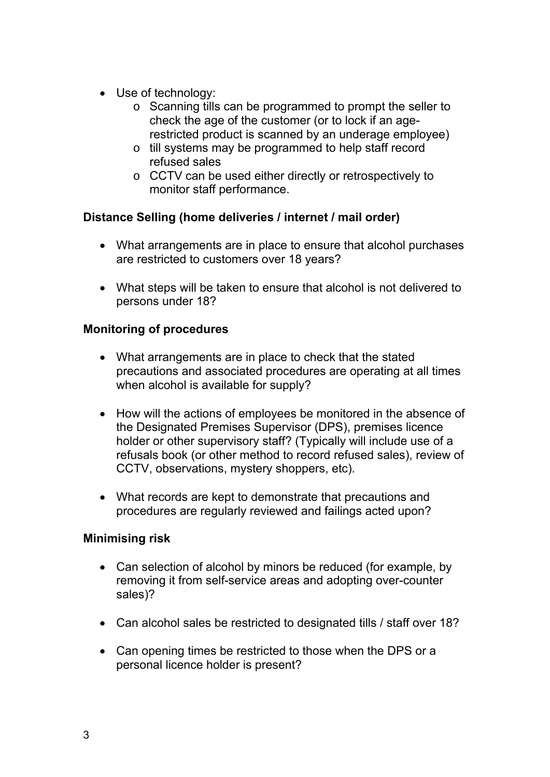- Use of technology:
	- o Scanning tills can be programmed to prompt the seller to check the age of the customer (or to lock if an agerestricted product is scanned by an underage employee)
	- o till systems may be programmed to help staff record refused sales
	- o CCTV can be used either directly or retrospectively to monitor staff performance.

# **Distance Selling (home deliveries / internet / mail order)**

- What arrangements are in place to ensure that alcohol purchases are restricted to customers over 18 years?
- What steps will be taken to ensure that alcohol is not delivered to persons under 18?

## **Monitoring of procedures**

- What arrangements are in place to check that the stated precautions and associated procedures are operating at all times when alcohol is available for supply?
- How will the actions of employees be monitored in the absence of the Designated Premises Supervisor (DPS), premises licence holder or other supervisory staff? (Typically will include use of a refusals book (or other method to record refused sales), review of CCTV, observations, mystery shoppers, etc).
- What records are kept to demonstrate that precautions and procedures are regularly reviewed and failings acted upon?

### **Minimising risk**

- Can selection of alcohol by minors be reduced (for example, by removing it from self-service areas and adopting over-counter sales)?
- Can alcohol sales be restricted to designated tills / staff over 18?
- Can opening times be restricted to those when the DPS or a personal licence holder is present?